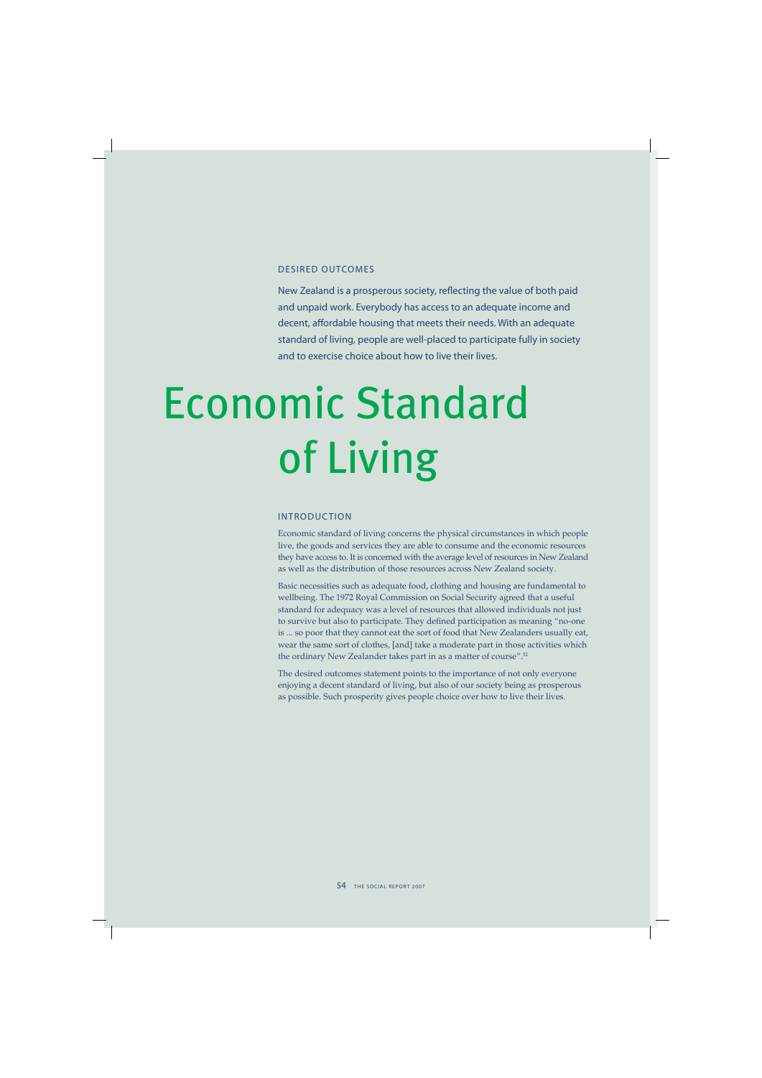### DESIRED OUTCOMES

New Zealand is a prosperous society, reflecting the value of both paid and unpaid work. Everybody has access to an adequate income and decent, affordable housing that meets their needs. With an adequate standard of living, people are well-placed to participate fully in society and to exercise choice about how to live their lives.

# Economic Standard of Living

### INTRODUCTION

Economic standard of living concerns the physical circumstances in which people live, the goods and services they are able to consume and the economic resources they have access to. It is concerned with the average level of resources in New Zealand as well as the distribution of those resources across New Zealand society.

Basic necessities such as adequate food, clothing and housing are fundamental to wellbeing. The 1972 Royal Commission on Social Security agreed that a useful standard for adequacy was a level of resources that allowed individuals not just to survive but also to participate. They defined participation as meaning "no-one is ... so poor that they cannot eat the sort of food that New Zealanders usually eat, wear the same sort of clothes, [and] take a moderate part in those activities which the ordinary New Zealander takes part in as a matter of course".<sup>52</sup>

The desired outcomes statement points to the importance of not only everyone enjoying a decent standard of living, but also of our society being as prosperous as possible. Such prosperity gives people choice over how to live their lives.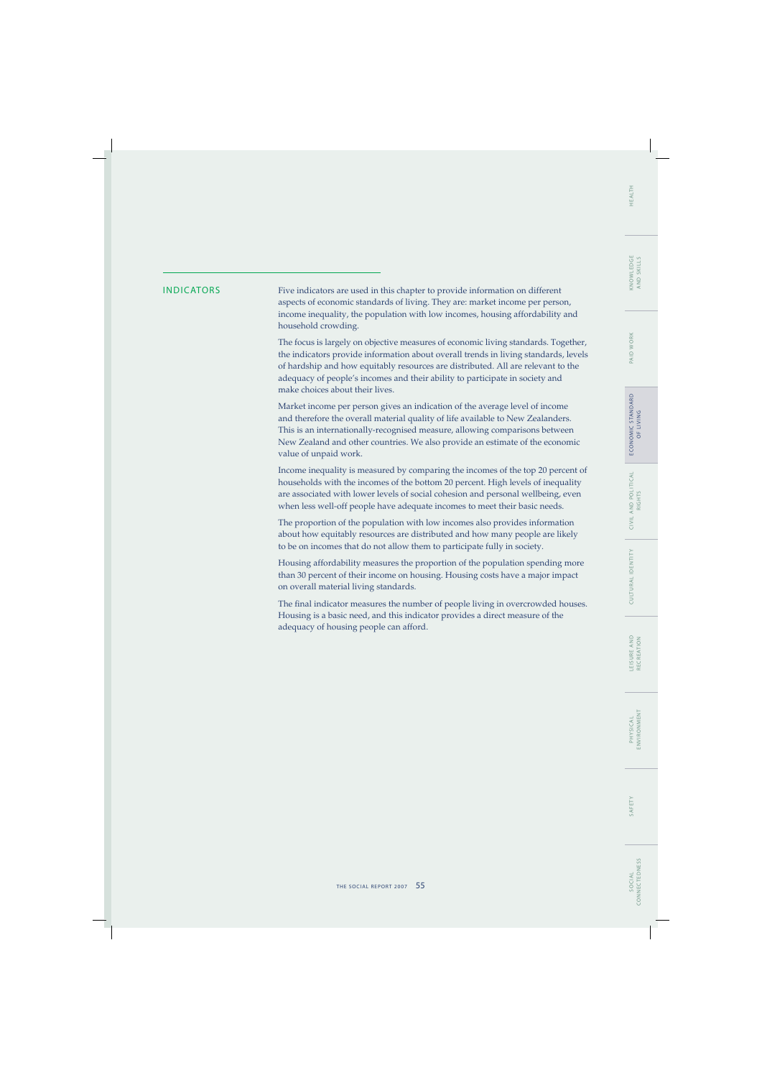## WORK PAID V

ECONOMIC STANDARD E CO N O M I C S TA N DA R D OF LIVING

INDICATORS Five indicators are used in this chapter to provide information on different aspects of economic standards of living. They are: market income per person, income inequality, the population with low incomes, housing affordability and household crowding.

> The focus is largely on objective measures of economic living standards. Together, the indicators provide information about overall trends in living standards, levels of hardship and how equitably resources are distributed. All are relevant to the adequacy of people's incomes and their ability to participate in society and make choices about their lives.

Market income per person gives an indication of the average level of income and therefore the overall material quality of life available to New Zealanders. This is an internationally-recognised measure, allowing comparisons between New Zealand and other countries. We also provide an estimate of the economic value of unpaid work.

Income inequality is measured by comparing the incomes of the top 20 percent of households with the incomes of the bottom 20 percent. High levels of inequality are associated with lower levels of social cohesion and personal wellbeing, even when less well-off people have adequate incomes to meet their basic needs.

The proportion of the population with low incomes also provides information about how equitably resources are distributed and how many people are likely to be on incomes that do not allow them to participate fully in society.

Housing affordability measures the proportion of the population spending more than 30 percent of their income on housing. Housing costs have a major impact on overall material living standards.

The final indicator measures the number of people living in overcrowded houses. Housing is a basic need, and this indicator provides a direct measure of the adequacy of housing people can afford.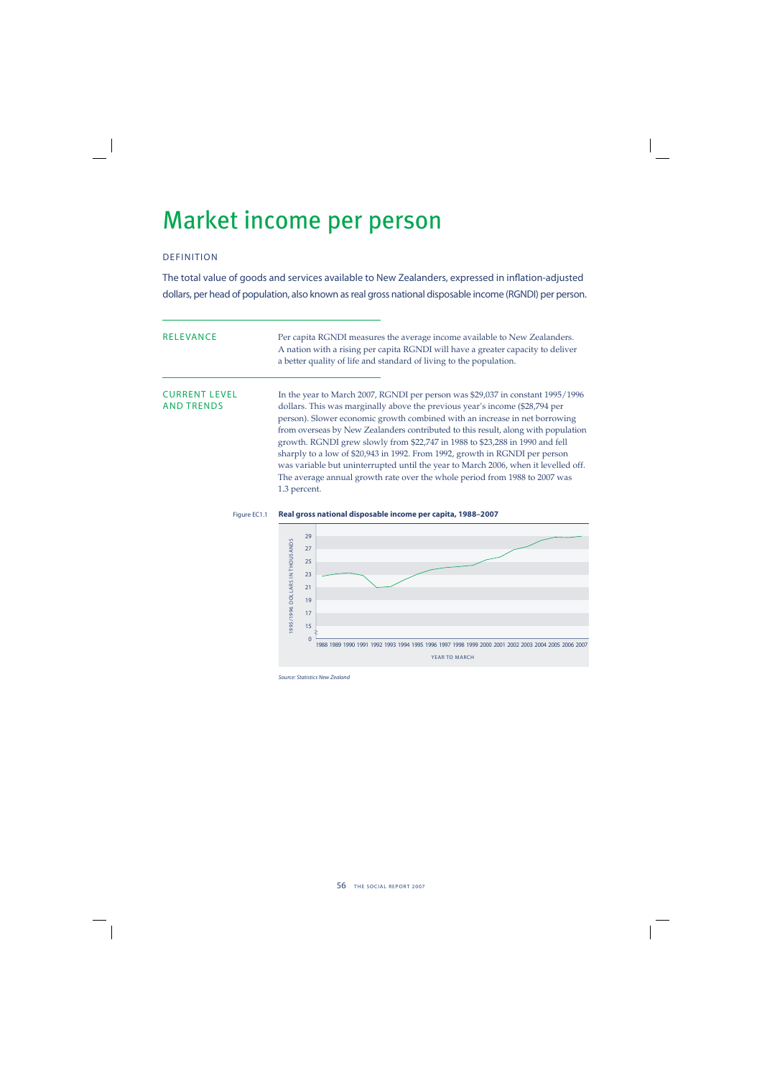## Market income per person

## DEFINITION

The total value of goods and services available to New Zealanders, expressed in inflation-adjusted dollars, per head of population, also known as real gross national disposable income (RGNDI) per person.

| <b>RELEVANCE</b>                          | Per capita RGNDI measures the average income available to New Zealanders.<br>A nation with a rising per capita RGNDI will have a greater capacity to deliver<br>a better quality of life and standard of living to the population.                                                                                                                                                                                                                                                                                                                                                                                                                                                  |
|-------------------------------------------|-------------------------------------------------------------------------------------------------------------------------------------------------------------------------------------------------------------------------------------------------------------------------------------------------------------------------------------------------------------------------------------------------------------------------------------------------------------------------------------------------------------------------------------------------------------------------------------------------------------------------------------------------------------------------------------|
| <b>CURRENT LEVEL</b><br><b>AND TRENDS</b> | In the year to March 2007, RGNDI per person was \$29,037 in constant 1995/1996<br>dollars. This was marginally above the previous year's income (\$28,794 per<br>person). Slower economic growth combined with an increase in net borrowing<br>from overseas by New Zealanders contributed to this result, along with population<br>growth. RGNDI grew slowly from \$22,747 in 1988 to \$23,288 in 1990 and fell<br>sharply to a low of \$20,943 in 1992. From 1992, growth in RGNDI per person<br>was variable but uninterrupted until the year to March 2006, when it levelled off.<br>The average annual growth rate over the whole period from 1988 to 2007 was<br>1.3 percent. |

### Figure EC1.1 **Real gross national disposable income per capita, 1988–2007**



Source: Statistics New Zealand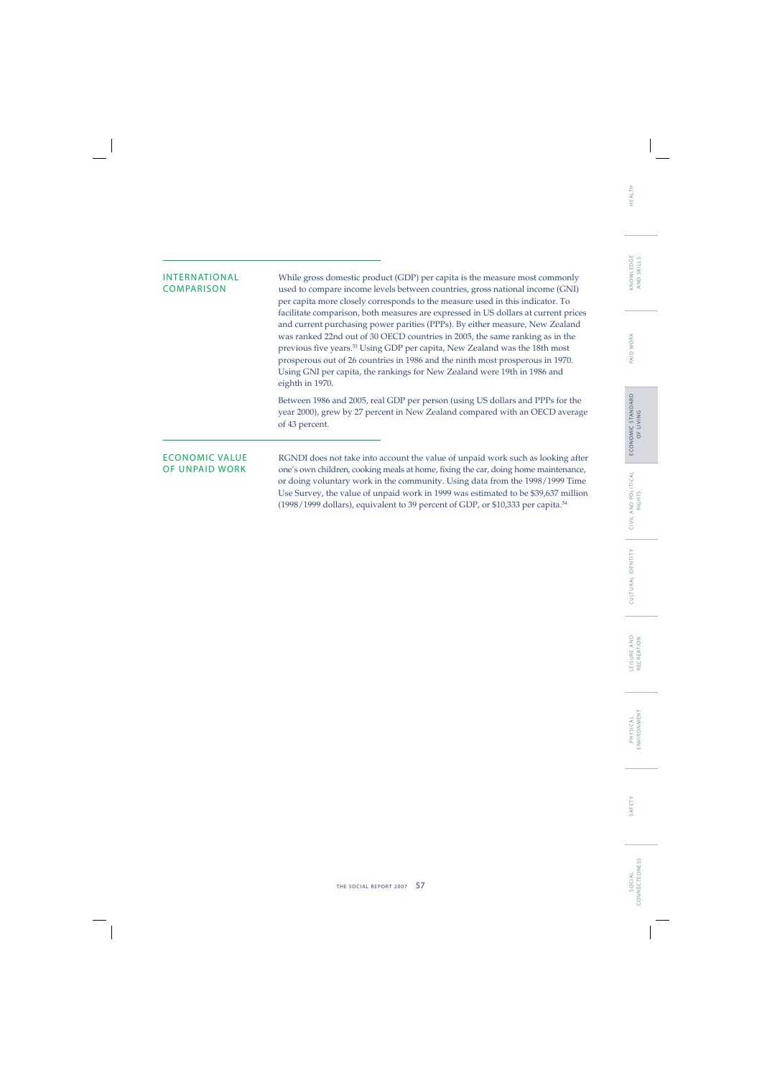## INTERNATIONAL While gross domestic product (GDP) per capita is the measure most commonly<br>COMPARISON used to compare income levels between countries, gross national income (GNI) used to compare income levels between countries, gross national income (GNI) per capita more closely corresponds to the measure used in this indicator. To facilitate comparison, both measures are expressed in US dollars at current prices and current purchasing power parities (PPPs). By either measure, New Zealand was ranked 22nd out of 30 OECD countries in 2005, the same ranking as in the previous five years.<sup>53</sup> Using GDP per capita, New Zealand was the 18th most prosperous out of 26 countries in 1986 and the ninth most prosperous in 1970. Using GNI per capita, the rankings for New Zealand were 19th in 1986 and eighth in 1970. Between 1986 and 2005, real GDP per person (using US dollars and PPPs for the year 2000), grew by 27 percent in New Zealand compared with an OECD average of 43 percent. ECONOMIC VALUE RGNDI does not take into account the value of unpaid work such as looking after<br>OF UNPAID WORK one's own children, cooking meals at home, fixing the car, doing home maintenance, one's own children, cooking meals at home, fixing the car, doing home maintenance, or doing voluntary work in the community. Using data from the 1998/1999 Time

Use Survey, the value of unpaid work in 1999 was estimated to be \$39,637 million (1998/1999 dollars), equivalent to 39 percent of GDP, or \$10,333 per capita.54

S O C I A L

SOCIAL

LEISURE AND<br>RECREATION L E I S U R E A N D RECREATION

**PHYSICAL**<br>ENVIRONMENT ENVIRONMENT SAFETY P HYS I C A L

SAFETY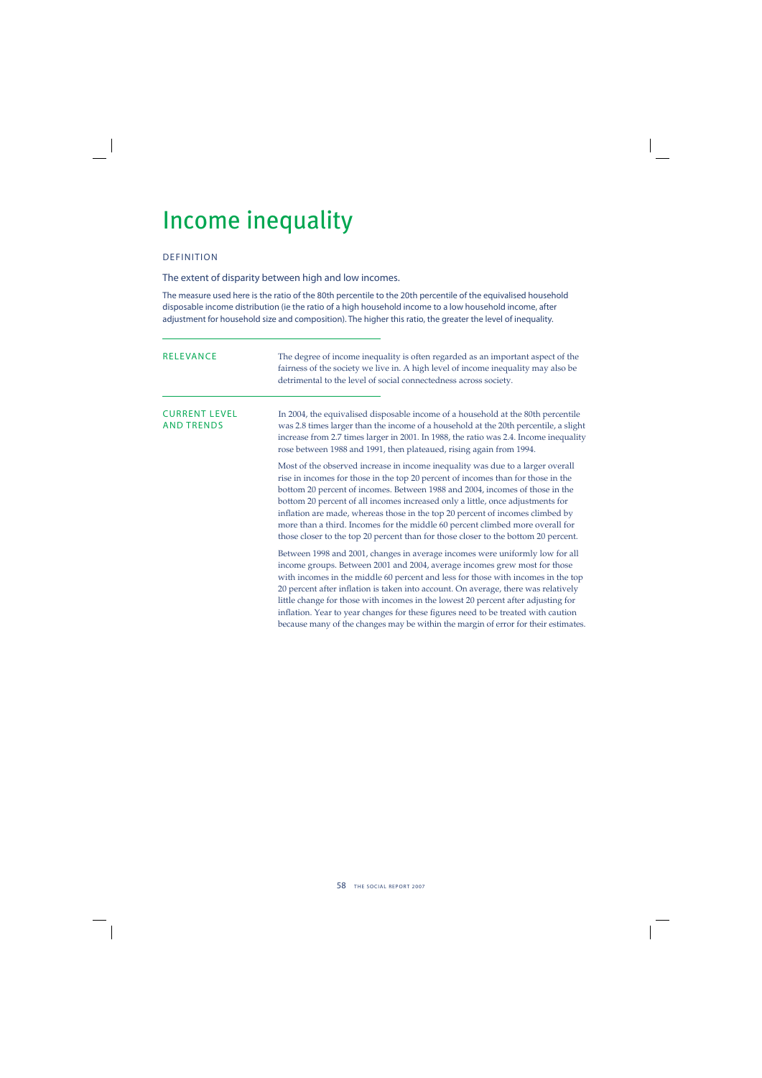## Income inequality

## DEFINITION

The extent of disparity between high and low incomes.

The measure used here is the ratio of the 80th percentile to the 20th percentile of the equivalised household disposable income distribution (ie the ratio of a high household income to a low household income, after adjustment for household size and composition). The higher this ratio, the greater the level of inequality.

| <b>RELEVANCE</b>                          | The degree of income inequality is often regarded as an important aspect of the<br>fairness of the society we live in. A high level of income inequality may also be<br>detrimental to the level of social connectedness across society.                                                                                                                                                                                                                                                                                                                                                            |  |  |
|-------------------------------------------|-----------------------------------------------------------------------------------------------------------------------------------------------------------------------------------------------------------------------------------------------------------------------------------------------------------------------------------------------------------------------------------------------------------------------------------------------------------------------------------------------------------------------------------------------------------------------------------------------------|--|--|
| <b>CURRENT LEVEL</b><br><b>AND TRENDS</b> | In 2004, the equivalised disposable income of a household at the 80th percentile<br>was 2.8 times larger than the income of a household at the 20th percentile, a slight<br>increase from 2.7 times larger in 2001. In 1988, the ratio was 2.4. Income inequality<br>rose between 1988 and 1991, then plateaued, rising again from 1994.                                                                                                                                                                                                                                                            |  |  |
|                                           | Most of the observed increase in income inequality was due to a larger overall<br>rise in incomes for those in the top 20 percent of incomes than for those in the<br>bottom 20 percent of incomes. Between 1988 and 2004, incomes of those in the<br>bottom 20 percent of all incomes increased only a little, once adjustments for<br>inflation are made, whereas those in the top 20 percent of incomes climbed by<br>more than a third. Incomes for the middle 60 percent climbed more overall for<br>those closer to the top 20 percent than for those closer to the bottom 20 percent.        |  |  |
|                                           | Between 1998 and 2001, changes in average incomes were uniformly low for all<br>income groups. Between 2001 and 2004, average incomes grew most for those<br>with incomes in the middle 60 percent and less for those with incomes in the top<br>20 percent after inflation is taken into account. On average, there was relatively<br>little change for those with incomes in the lowest 20 percent after adjusting for<br>inflation. Year to year changes for these figures need to be treated with caution<br>because many of the changes may be within the margin of error for their estimates. |  |  |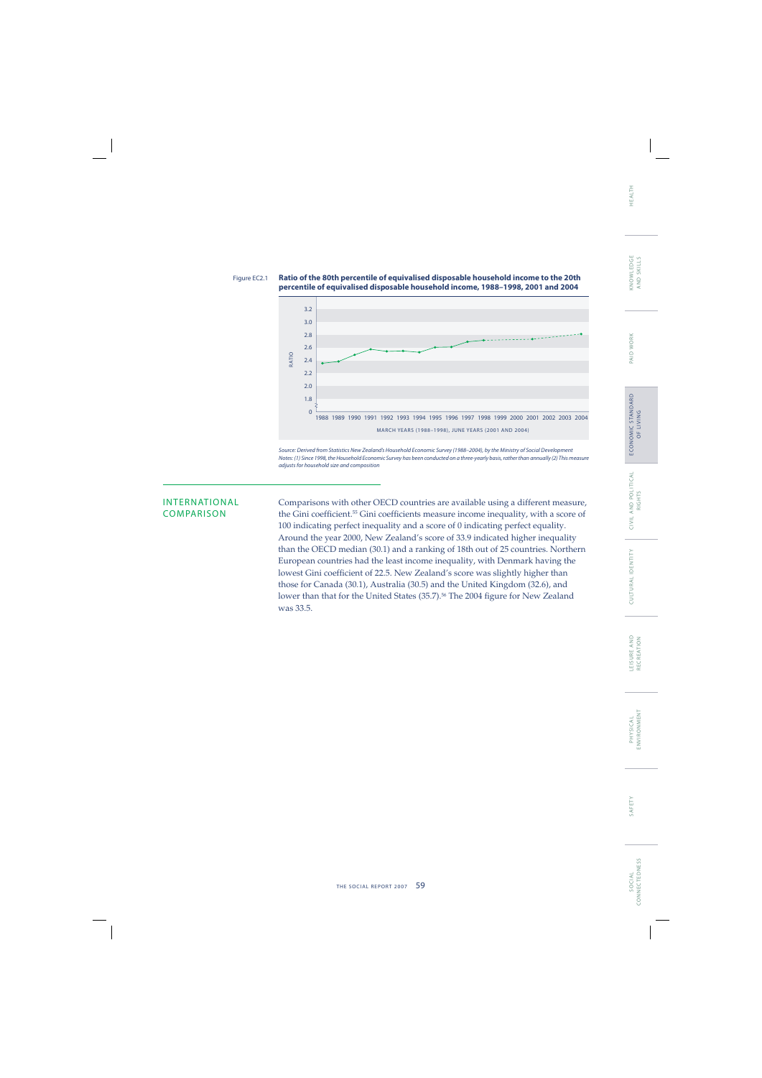



Source: Derived from Statistics New Zealand's Household Economic Survey (1988–2004), by the Ministry of Social Development Notes: (1) Since 1998, the Household Economic Survey has been conducted on a three-yearly basis, rather than annually (2) This measure adjusts for household size and composition

INTERNATIONAL Comparisons with other OECD countries are available using a different measure,<br>COMPARISON the Gini coefficient <sup>55</sup> Gini coefficients measure income inequality, with a score of the Gini coefficient.<sup>55</sup> Gini coefficients measure income inequality, with a score of 100 indicating perfect inequality and a score of 0 indicating perfect equality. Around the year 2000, New Zealand's score of 33.9 indicated higher inequality than the OECD median (30.1) and a ranking of 18th out of 25 countries. Northern European countries had the least income inequality, with Denmark having the lowest Gini coefficient of 22.5. New Zealand's score was slightly higher than those for Canada (30.1), Australia (30.5) and the United Kingdom (32.6), and lower than that for the United States (35.7).<sup>56</sup> The 2004 figure for New Zealand was 33.5.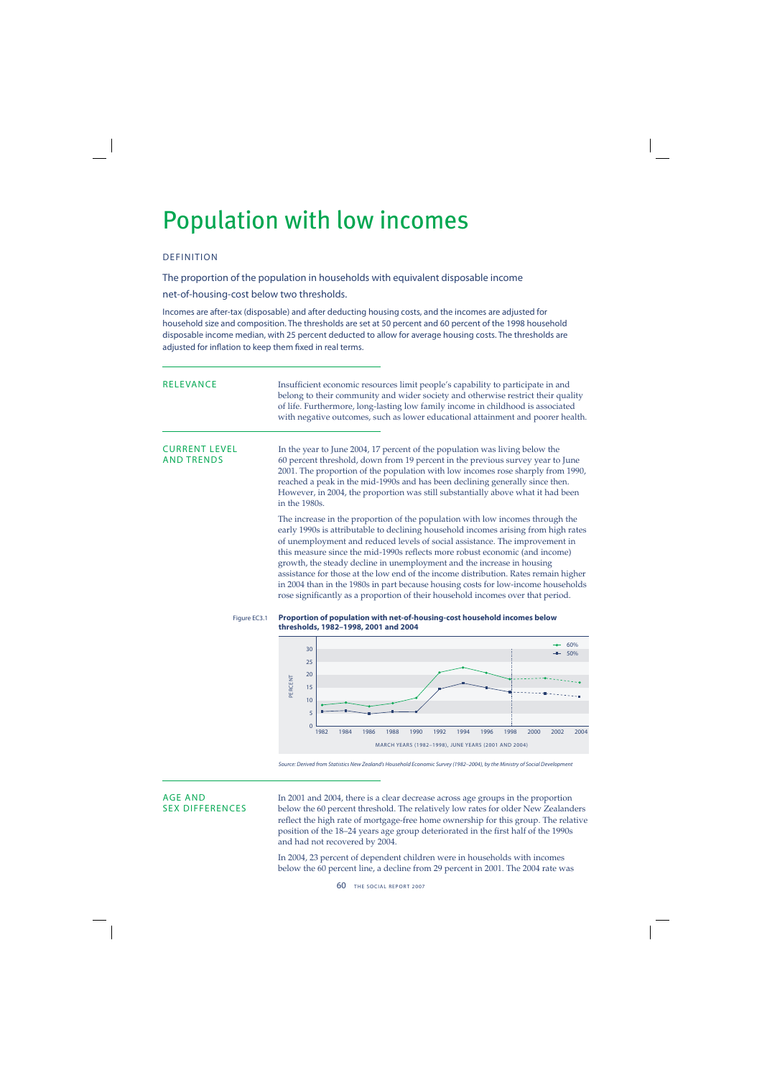## Population with low incomes

## DEFINITION

The proportion of the population in households with equivalent disposable income

net-of-housing-cost below two thresholds.

Incomes are after-tax (disposable) and after deducting housing costs, and the incomes are adjusted for household size and composition. The thresholds are set at 50 percent and 60 percent of the 1998 household disposable income median, with 25 percent deducted to allow for average housing costs. The thresholds are adjusted for inflation to keep them fixed in real terms.

| RELEVANCE                                 | Insufficient economic resources limit people's capability to participate in and<br>belong to their community and wider society and otherwise restrict their quality<br>of life. Furthermore, long-lasting low family income in childhood is associated<br>with negative outcomes, such as lower educational attainment and poorer health.                                                                                                                                                                                                                                               |
|-------------------------------------------|-----------------------------------------------------------------------------------------------------------------------------------------------------------------------------------------------------------------------------------------------------------------------------------------------------------------------------------------------------------------------------------------------------------------------------------------------------------------------------------------------------------------------------------------------------------------------------------------|
| <b>CURRENT LEVEL</b><br><b>AND TRENDS</b> | In the year to June 2004, 17 percent of the population was living below the<br>60 percent threshold, down from 19 percent in the previous survey year to June<br>2001. The proportion of the population with low incomes rose sharply from 1990,<br>reached a peak in the mid-1990s and has been declining generally since then.<br>However, in 2004, the proportion was still substantially above what it had been<br>in the 1980s.                                                                                                                                                    |
|                                           | The increase in the proportion of the population with low incomes through the<br>early 1990s is attributable to declining household incomes arising from high rates<br>of unemployment and reduced levels of social assistance. The improvement in<br>this measure since the mid-1990s reflects more robust economic (and income)<br>growth, the steady decline in unemployment and the increase in housing<br>assistance for those at the low end of the income distribution. Rates remain higher<br>in 2004 than in the 1980s in part because housing costs for low-income households |

Figure EC3.1 **Proportion of population with net-of-housing-cost household incomes below thresholds, 1982–1998, 2001 and 2004**

rose significantly as a proportion of their household incomes over that period.



Source: Derived from Statistics New Zealand's Household Economic Survey (1982–2004), by the Ministry of Social Development

AGE AND In 2001 and 2004, there is a clear decrease across age groups in the proportion<br>SEX DIFFERENCES below the 60 percent threshold. The relatively low rates for older New Zealand below the 60 percent threshold. The relatively low rates for older New Zealanders reflect the high rate of mortgage-free home ownership for this group. The relative position of the 18–24 years age group deteriorated in the first half of the 1990s and had not recovered by 2004.

> In 2004, 23 percent of dependent children were in households with incomes below the 60 percent line, a decline from 29 percent in 2001. The 2004 rate was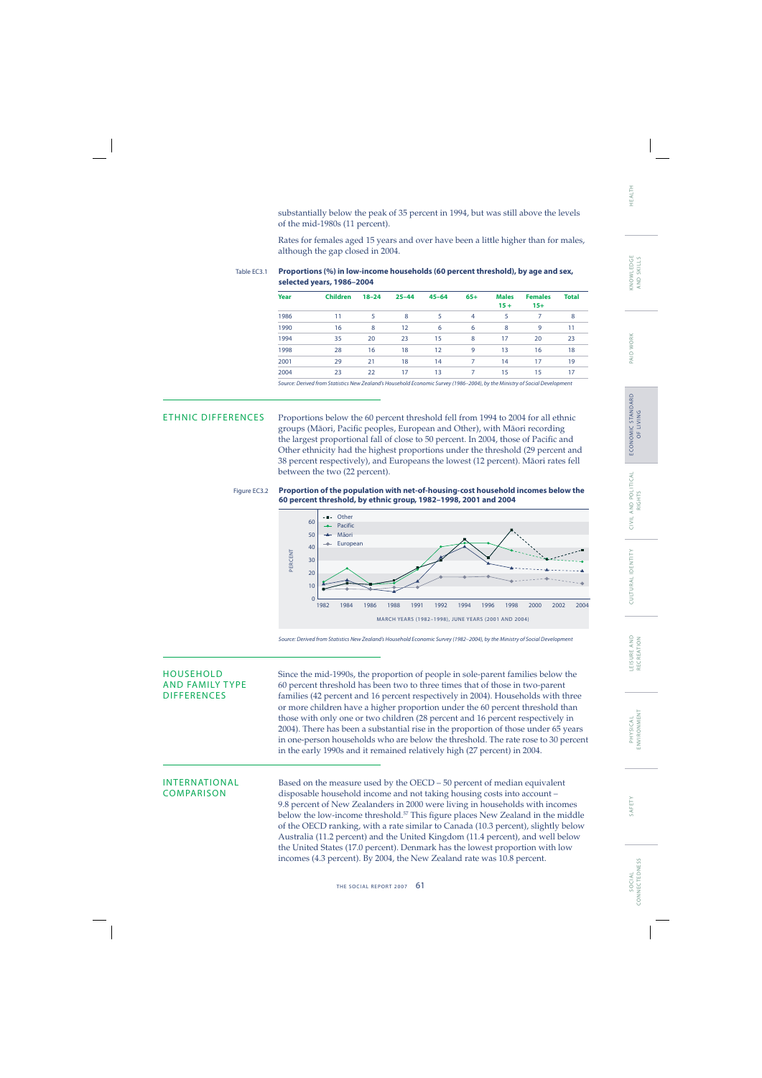substantially below the peak of 35 percent in 1994, but was still above the levels of the mid-1980s (11 percent).

Rates for females aged 15 years and over have been a little higher than for males, although the gap closed in 2004.

### Table EC3.1 **Proportions (%) in low-income households (60 percent threshold), by age and sex, selected years, 1986–2004**

| Year | <b>Children</b> | $18 - 24$ | $25 - 44$ | $45 - 64$ | $65+$ | <b>Males</b><br>$15 +$ | <b>Females</b><br>$15+$ | <b>Total</b> |
|------|-----------------|-----------|-----------|-----------|-------|------------------------|-------------------------|--------------|
| 1986 | 11              | 5         | 8         | 5         | 4     | 5                      | 7                       | 8            |
| 1990 | 16              | 8         | 12        | 6         | 6     | 8                      | 9                       | 11           |
| 1994 | 35              | 20        | 23        | 15        | 8     | 17                     | 20                      | 23           |
| 1998 | 28              | 16        | 18        | 12        | 9     | 13                     | 16                      | 18           |
| 2001 | 29              | 21        | 18        | 14        | 7     | 14                     | 17                      | 19           |
| 2004 | 23              | 22        | 17        | 13        | 7     | 15                     | 15                      | 17           |

Source: Derived from Statistics New Zealand's Household Economic Survey (1986–2004), by the Ministry of Social Development

ETHNIC DIFFERENCES Proportions below the 60 percent threshold fell from 1994 to 2004 for all ethnic groups (Māori, Pacific peoples, European and Other), with Māori recording the largest proportional fall of close to 50 percent. In 2004, those of Pacific and Other ethnicity had the highest proportions under the threshold (29 percent and 38 percent respectively), and Europeans the lowest (12 percent). Mäori rates fell between the two (22 percent).

Figure EC3.2 **Proportion of the population with net-of-housing-cost household incomes below the 60 percent threshold, by ethnic group, 1982–1998, 2001 and 2004**



Source: Derived from Statistics New Zealand's Household Economic Survey (1982–2004), by the Ministry of Social Development

HOUSEHOLD Since the mid-1990s, the proportion of people in sole-parent families below the<br>AND FAMILY TYPE 60 percent threshold has been two to three times that of those in two-parent AND FAMILY TYPE 60 percent threshold has been two to three times that of those in two-parent<br>DIFFERENCES families (42 percent and 16 percent respectively in 2004). Households with the families (42 percent and 16 percent respectively in 2004). Households with three or more children have a higher proportion under the 60 percent threshold than those with only one or two children (28 percent and 16 percent respectively in 2004). There has been a substantial rise in the proportion of those under 65 years in one-person households who are below the threshold. The rate rose to 30 percent in the early 1990s and it remained relatively high (27 percent) in 2004.

INTERNATIONAL Based on the measure used by the OECD – 50 percent of median equivalent<br>COMPARISON disposable household income and not taking housing costs into account – disposable household income and not taking housing costs into account – 9.8 percent of New Zealanders in 2000 were living in households with incomes below the low-income threshold.<sup>57</sup> This figure places New Zealand in the middle of the OECD ranking, with a rate similar to Canada (10.3 percent), slightly below Australia (11.2 percent) and the United Kingdom (11.4 percent), and well below the United States (17.0 percent). Denmark has the lowest proportion with low incomes (4.3 percent). By 2004, the New Zealand rate was 10.8 percent.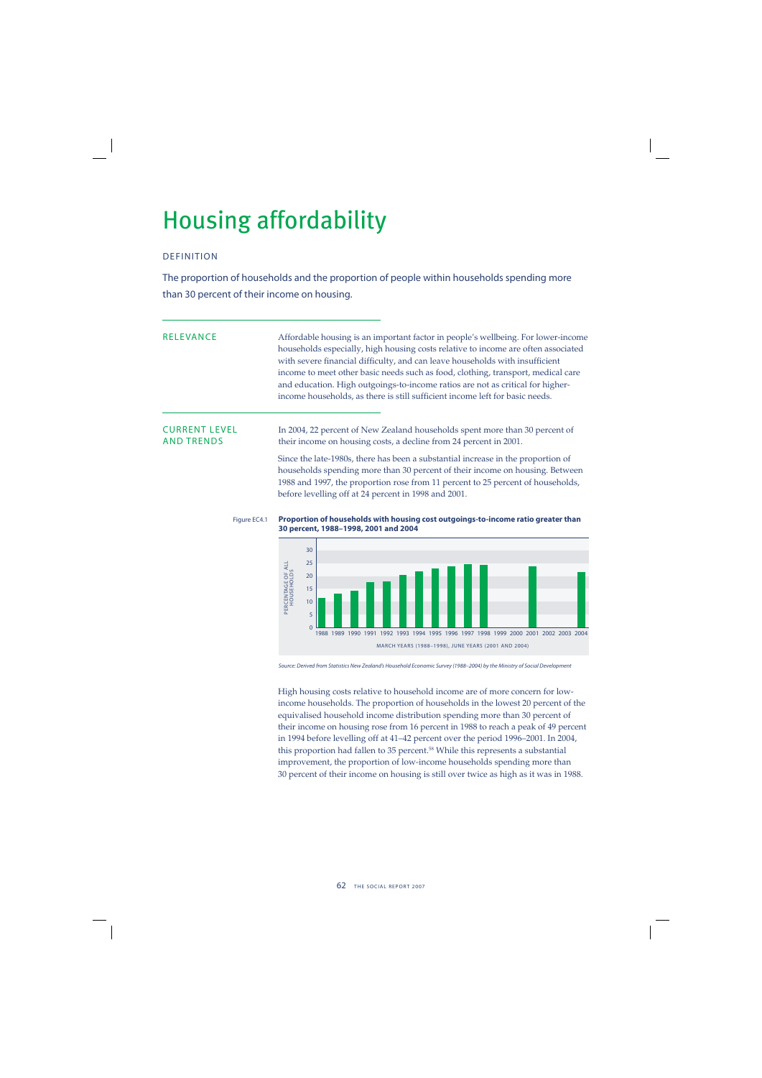## Housing affordability

## DEFINITION

The proportion of households and the proportion of people within households spending more than 30 percent of their income on housing.

| <b>RELEVANCE</b>     | Affordable housing is an important factor in people's wellbeing. For lower-income                                                                                 |
|----------------------|-------------------------------------------------------------------------------------------------------------------------------------------------------------------|
|                      | households especially, high housing costs relative to income are often associated<br>with severe financial difficulty, and can leave households with insufficient |
|                      | income to meet other basic needs such as food, clothing, transport, medical care                                                                                  |
|                      | and education. High outgoings-to-income ratios are not as critical for higher-                                                                                    |
|                      |                                                                                                                                                                   |
|                      | income households, as there is still sufficient income left for basic needs.                                                                                      |
|                      |                                                                                                                                                                   |
| <b>CURRENT LEVEL</b> | In 2004, 22 percent of New Zealand households spent more than 30 percent of                                                                                       |
| <b>AND TRENDS</b>    | their income on housing costs, a decline from 24 percent in 2001.                                                                                                 |
|                      | Since the late-1980s, there has been a substantial increase in the proportion of                                                                                  |
|                      | bougholds granding may than 20 novemb of their inserne on boughts. Returner                                                                                       |

households spending more than 30 percent of their income on housing. Between 1988 and 1997, the proportion rose from 11 percent to 25 percent of households, before levelling off at 24 percent in 1998 and 2001.

Figure EC4.1 **Proportion of households with housing cost outgoings-to-income ratio greater than 30 percent, 1988–1998, 2001 and 2004**



Source: Derived from Statistics New Zealand's Household Economic Survey (1988–2004) by the Ministry of Social Development

High housing costs relative to household income are of more concern for lowincome households. The proportion of households in the lowest 20 percent of the equivalised household income distribution spending more than 30 percent of their income on housing rose from 16 percent in 1988 to reach a peak of 49 percent in 1994 before levelling off at 41–42 percent over the period 1996–2001. In 2004, this proportion had fallen to 35 percent.<sup>58</sup> While this represents a substantial improvement, the proportion of low-income households spending more than 30 percent of their income on housing is still over twice as high as it was in 1988.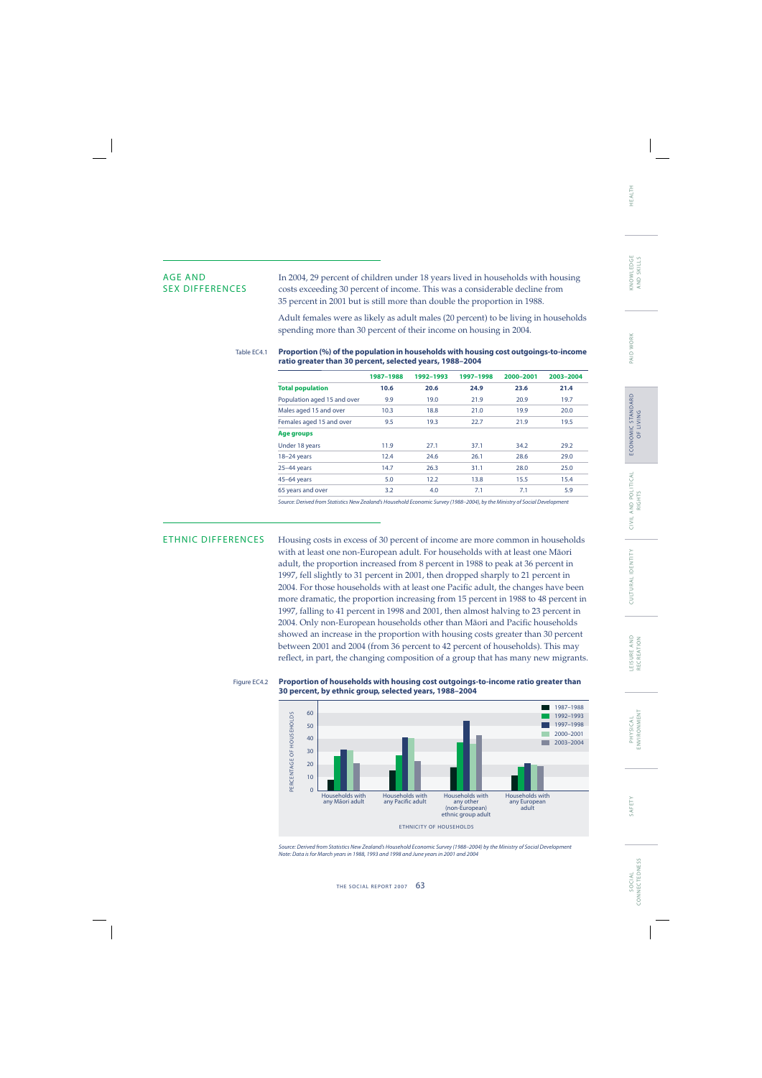AGE AND In 2004, 29 percent of children under 18 years lived in households with housing<br>SEX DIFFERENCES costs exceeding 30 percent of income. This was a considerable decline from costs exceeding 30 percent of income. This was a considerable decline from 35 percent in 2001 but is still more than double the proportion in 1988.

> Adult females were as likely as adult males (20 percent) to be living in households spending more than 30 percent of their income on housing in 2004.

### Table EC4.1 **Proportion (%) of the population in households with housing cost outgoings-to-income ratio greater than 30 percent, selected years, 1988–2004**

|                             | 1987-1988 | 1992-1993 | 1997-1998 | 2000-2001 | 2003-2004 |
|-----------------------------|-----------|-----------|-----------|-----------|-----------|
| <b>Total population</b>     | 10.6      | 20.6      | 24.9      | 23.6      | 21.4      |
| Population aged 15 and over | 9.9       | 19.0      | 21.9      | 20.9      | 19.7      |
| Males aged 15 and over      | 10.3      | 18.8      | 21.0      | 19.9      | 20.0      |
| Females aged 15 and over    | 9.5       | 19.3      | 22.7      | 21.9      | 19.5      |
| Age groups                  |           |           |           |           |           |
| Under 18 years              | 11.9      | 27.1      | 37.1      | 34.2      | 29.2      |
| $18-24$ years               | 12.4      | 24.6      | 26.1      | 28.6      | 29.0      |
| $25-44$ years               | 14.7      | 26.3      | 31.1      | 28.0      | 25.0      |
| $45-64$ years               | 5.0       | 12.2      | 13.8      | 15.5      | 15.4      |
| 65 years and over           | 3.2       | 4.0       | 7.1       | 7.1       | 5.9       |
|                             |           |           |           |           |           |

Source: Derived from Statistics New Zealand's Household Economic Survey (1988–2004), by the Ministry of Social Development

ETHNIC DIFFERENCES Housing costs in excess of 30 percent of income are more common in households with at least one non-European adult. For households with at least one Mäori adult, the proportion increased from 8 percent in 1988 to peak at 36 percent in 1997, fell slightly to 31 percent in 2001, then dropped sharply to 21 percent in 2004. For those households with at least one Pacific adult, the changes have been more dramatic, the proportion increasing from 15 percent in 1988 to 48 percent in 1997, falling to 41 percent in 1998 and 2001, then almost halving to 23 percent in 2004. Only non-European households other than Māori and Pacific households showed an increase in the proportion with housing costs greater than 30 percent between 2001 and 2004 (from 36 percent to 42 percent of households). This may reflect, in part, the changing composition of a group that has many new migrants.

### Figure EC4.2 **Proportion of households with housing cost outgoings-to-income ratio greater than 30 percent, by ethnic group, selected years, 1988–2004**



Source: Derived from Statistics New Zealand's Household Economic Survey (1988–2004) by the Ministry of Social Development Note: Data is for March years in 1988, 1993 and 1998 and June years in 2001 and 2004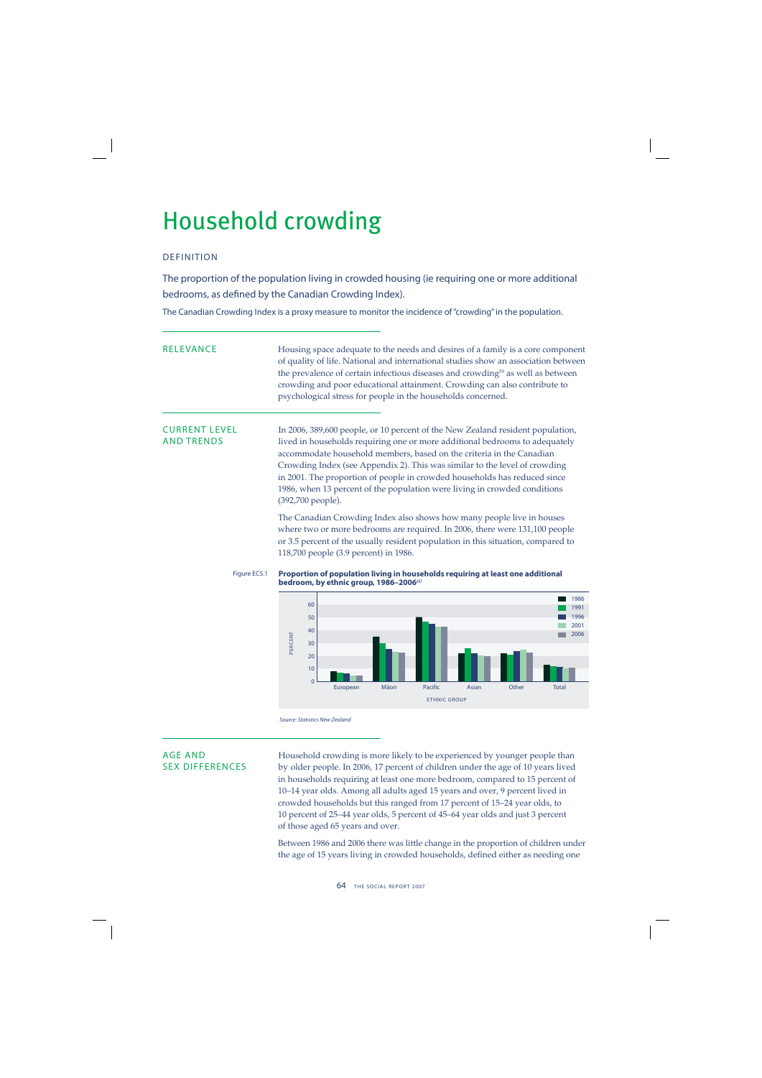## Household crowding

## DEFINITION

The proportion of the population living in crowded housing (ie requiring one or more additional bedrooms, as defined by the Canadian Crowding Index).

The Canadian Crowding Index is a proxy measure to monitor the incidence of "crowding" in the population.

RELEVANCE Housing space adequate to the needs and desires of a family is a core component of quality of life. National and international studies show an association between the prevalence of certain infectious diseases and crowding<sup>59</sup> as well as between crowding and poor educational attainment. Crowding can also contribute to psychological stress for people in the households concerned.

CURRENT LEVEL In 2006, 389,600 people, or 10 percent of the New Zealand resident population,<br>AND TRENDS lived in households requiring one or more additional bedrooms to adequately lived in households requiring one or more additional bedrooms to adequately accommodate household members, based on the criteria in the Canadian Crowding Index (see Appendix 2). This was similar to the level of crowding in 2001. The proportion of people in crowded households has reduced since 1986, when 13 percent of the population were living in crowded conditions (392,700 people).

> The Canadian Crowding Index also shows how many people live in houses where two or more bedrooms are required. In 2006, there were 131,100 people or 3.5 percent of the usually resident population in this situation, compared to 118,700 people (3.9 percent) in 1986.



igure EC5.1 Proportion of population living in households requiring at least one additional **bedroom, by ethnic group, 1986–2006** $^{60}$ 



Source: Statistics New Zealand

AGE AND Household crowding is more likely to be experienced by younger people than<br>SEX DIFFERENCES by older people. In 2006, 17 percent of children under the age of 10 years lived by older people. In 2006, 17 percent of children under the age of 10 years lived in households requiring at least one more bedroom, compared to 15 percent of 10–14 year olds. Among all adults aged 15 years and over, 9 percent lived in crowded households but this ranged from 17 percent of 15–24 year olds, to 10 percent of 25–44 year olds, 5 percent of 45–64 year olds and just 3 percent of those aged 65 years and over.

> Between 1986 and 2006 there was little change in the proportion of children under the age of 15 years living in crowded households, defined either as needing one